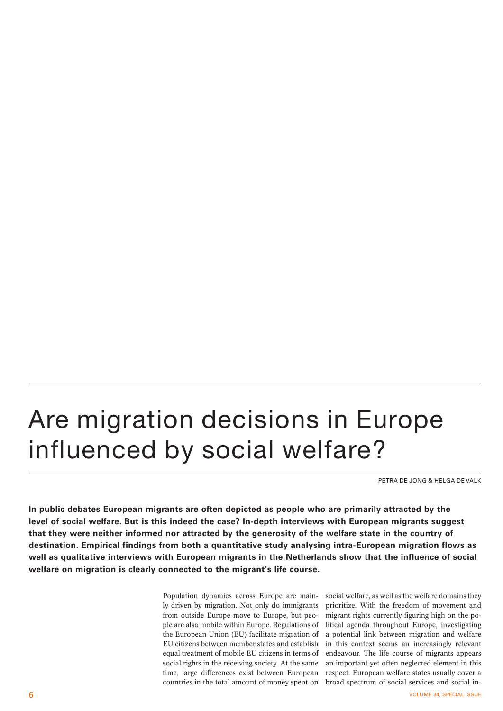## Are migration decisions in Europe influenced by social welfare?

PETRA DE JONG & HELGA DE VALK

**In public debates European migrants are often depicted as people who are primarily attracted by the level of social welfare. But is this indeed the case? In-depth interviews with European migrants suggest that they were neither informed nor attracted by the generosity of the welfare state in the country of destination. Empirical findings from both a quantitative study analysing intra-European migration flows as well as qualitative interviews with European migrants in the Netherlands show that the influence of social welfare on migration is clearly connected to the migrant's life course.**

> Population dynamics across Europe are mainly driven by migration. Not only do immigrants from outside Europe move to Europe, but people are also mobile within Europe. Regulations of the European Union (EU) facilitate migration of EU citizens between member states and establish equal treatment of mobile EU citizens in terms of social rights in the receiving society. At the same time, large differences exist between European countries in the total amount of money spent on

social welfare, as well as the welfare domains they prioritize. With the freedom of movement and migrant rights currently figuring high on the political agenda throughout Europe, investigating a potential link between migration and welfare in this context seems an increasingly relevant endeavour. The life course of migrants appears an important yet often neglected element in this respect. European welfare states usually cover a broad spectrum of social services and social in